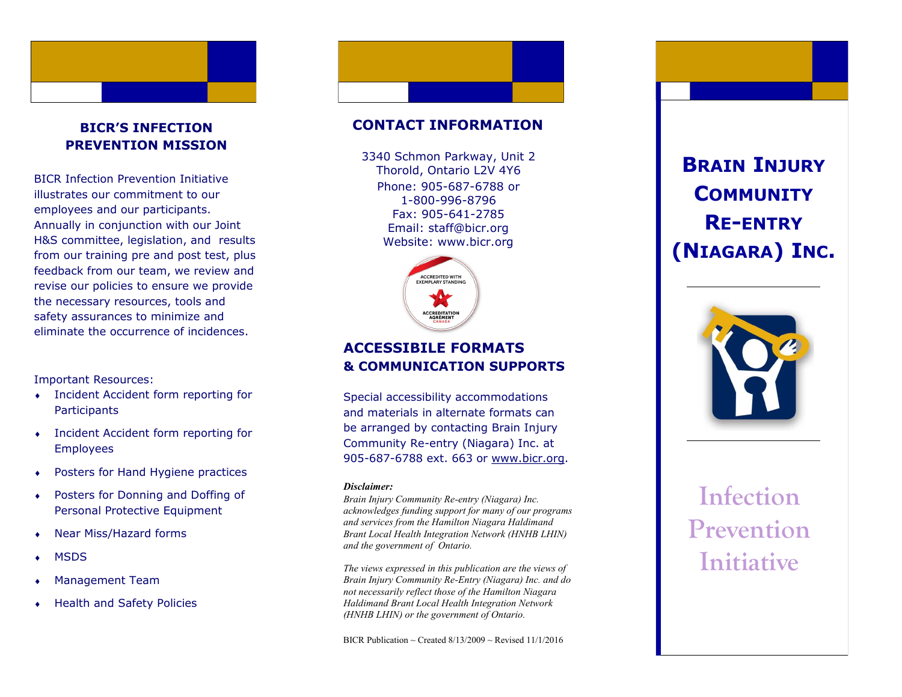# **BICR'S INFECTION PREVENTION MISSION**

BICR Infection Prevention Initiative illustrates our commitment to our employees and our participants. Annually in conjunction with our Joint H&S committee, legislation, and results from our training pre and post test, plus feedback from our team, we review and revise our policies to ensure we provide the necessary resources, tools and safety assurances to minimize and eliminate the occurrence of incidences.

## Important Resources:

- Incident Accident form reporting for **Participants**
- Incident Accident form reporting for Employees
- Posters for Hand Hygiene practices
- Posters for Donning and Doffing of Personal Protective Equipment
- Near Miss/Hazard forms
- **MSDS**
- Management Team
- Health and Safety Policies

## **CONTACT INFORMATION**

Phone: 905 -687 -6788 or 1 -800 -996 -8796 Fax: 905 -641 -2785 Email: staff@bicr.org Website: www.bicr.org 3340 Schmon Parkway, Unit 2 Thorold, Ontario L2V 4Y6



# **ACCESSIBILE FORMATS & COMMUNICATION SUPPORTS**

Special accessibility accommodations and materials in alternate formats can be arranged by contacting Brain Injury Community Re -entry (Niagara) Inc. at 905-687-6788 ext. 663 or [www.bicr.org.](http://www.bicr.org)

#### *Disclaimer:*

*Brain Injury Community Re -entry (Niagara) Inc. acknowledges funding support for many of our programs and services from the Hamilton Niagara Haldimand Brant Local Health Integration Network (HNHB LHIN) and the government of Ontario.* 

*The views expressed in this publication are the views of Brain Injury Community Re -Entry (Niagara) Inc. and do not necessarily reflect those of the Hamilton Niagara Haldimand Brant Local Health Integration Network (HNHB LHIN) or the government of Ontario.* 

BICR Publication  $\sim$  Created 8/13/2009  $\sim$  Revised 11/1/2016

# **BRAIN INJURY COMMUNITY RE-ENTRY (NIAGARA) INC .**



# **Infection Prevention Initiative**